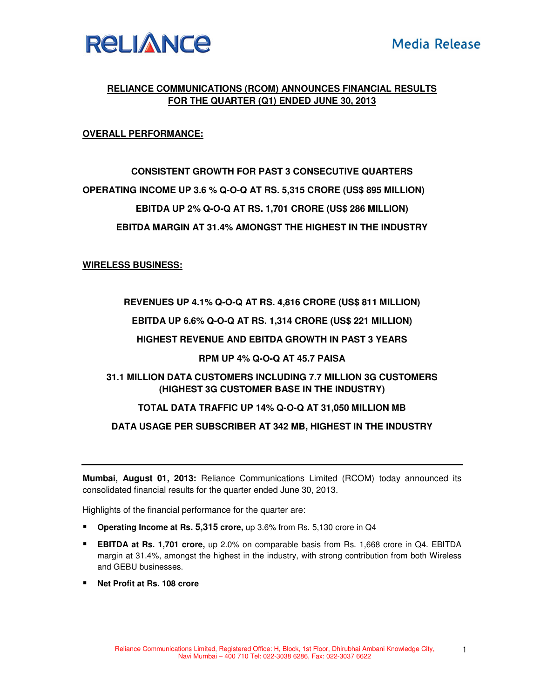

# **RELIANCE COMMUNICATIONS (RCOM) ANNOUNCES FINANCIAL RESULTS FOR THE QUARTER (Q1) ENDED JUNE 30, 2013**

# **OVERALL PERFORMANCE:**

# **CONSISTENT GROWTH FOR PAST 3 CONSECUTIVE QUARTERS**

**OPERATING INCOME UP 3.6 % Q-O-Q AT RS. 5,315 CRORE (US\$ 895 MILLION)** 

# **EBITDA UP 2% Q-O-Q AT RS. 1,701 CRORE (US\$ 286 MILLION)**

**EBITDA MARGIN AT 31.4% AMONGST THE HIGHEST IN THE INDUSTRY** 

**WIRELESS BUSINESS:**

# **REVENUES UP 4.1% Q-O-Q AT RS. 4,816 CRORE (US\$ 811 MILLION)**

# **EBITDA UP 6.6% Q-O-Q AT RS. 1,314 CRORE (US\$ 221 MILLION)**

**HIGHEST REVENUE AND EBITDA GROWTH IN PAST 3 YEARS** 

**RPM UP 4% Q-O-Q AT 45.7 PAISA** 

# **31.1 MILLION DATA CUSTOMERS INCLUDING 7.7 MILLION 3G CUSTOMERS (HIGHEST 3G CUSTOMER BASE IN THE INDUSTRY)**

## **TOTAL DATA TRAFFIC UP 14% Q-O-Q AT 31,050 MILLION MB**

## **DATA USAGE PER SUBSCRIBER AT 342 MB, HIGHEST IN THE INDUSTRY**

**Mumbai, August 01, 2013:** Reliance Communications Limited (RCOM) today announced its consolidated financial results for the quarter ended June 30, 2013.

Highlights of the financial performance for the quarter are:

- **Operating Income at Rs. 5,315 crore,** up 3.6% from Rs. 5,130 crore in Q4
- **EBITDA at Rs. 1,701 crore,** up 2.0% on comparable basis from Rs. 1,668 crore in Q4. EBITDA margin at 31.4%, amongst the highest in the industry, with strong contribution from both Wireless and GEBU businesses.
- **Net Profit at Rs. 108 crore**

1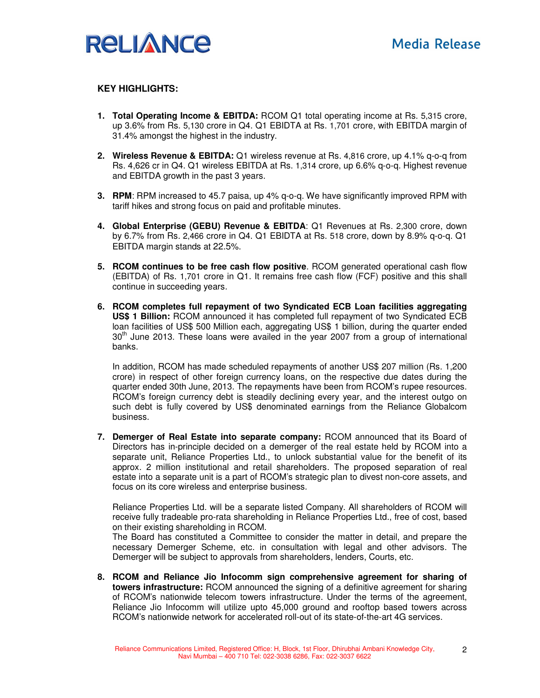

### **KEY HIGHLIGHTS:**

- **1. Total Operating Income & EBITDA:** RCOM Q1 total operating income at Rs. 5,315 crore, up 3.6% from Rs. 5,130 crore in Q4. Q1 EBIDTA at Rs. 1,701 crore, with EBITDA margin of 31.4% amongst the highest in the industry.
- **2. Wireless Revenue & EBITDA:** Q1 wireless revenue at Rs. 4,816 crore, up 4.1% q-o-q from Rs. 4,626 cr in Q4. Q1 wireless EBITDA at Rs. 1,314 crore, up 6.6% q-o-q. Highest revenue and EBITDA growth in the past 3 years.
- **3. RPM**: RPM increased to 45.7 paisa, up 4% q-o-q. We have significantly improved RPM with tariff hikes and strong focus on paid and profitable minutes.
- **4. Global Enterprise (GEBU) Revenue & EBITDA**: Q1 Revenues at Rs. 2,300 crore, down by 6.7% from Rs. 2,466 crore in Q4. Q1 EBIDTA at Rs. 518 crore, down by 8.9% q-o-q. Q1 EBITDA margin stands at 22.5%.
- **5. RCOM continues to be free cash flow positive**. RCOM generated operational cash flow (EBITDA) of Rs. 1,701 crore in Q1. It remains free cash flow (FCF) positive and this shall continue in succeeding years.
- **6. RCOM completes full repayment of two Syndicated ECB Loan facilities aggregating US\$ 1 Billion:** RCOM announced it has completed full repayment of two Syndicated ECB loan facilities of US\$ 500 Million each, aggregating US\$ 1 billion, during the quarter ended  $30<sup>th</sup>$  June 2013. These loans were availed in the year 2007 from a group of international banks.

In addition, RCOM has made scheduled repayments of another US\$ 207 million (Rs. 1,200 crore) in respect of other foreign currency loans, on the respective due dates during the quarter ended 30th June, 2013. The repayments have been from RCOM's rupee resources. RCOM's foreign currency debt is steadily declining every year, and the interest outgo on such debt is fully covered by US\$ denominated earnings from the Reliance Globalcom business.

**7. Demerger of Real Estate into separate company:** RCOM announced that its Board of Directors has in-principle decided on a demerger of the real estate held by RCOM into a separate unit, Reliance Properties Ltd., to unlock substantial value for the benefit of its approx. 2 million institutional and retail shareholders. The proposed separation of real estate into a separate unit is a part of RCOM's strategic plan to divest non-core assets, and focus on its core wireless and enterprise business.

Reliance Properties Ltd. will be a separate listed Company. All shareholders of RCOM will receive fully tradeable pro-rata shareholding in Reliance Properties Ltd., free of cost, based on their existing shareholding in RCOM.

The Board has constituted a Committee to consider the matter in detail, and prepare the necessary Demerger Scheme, etc. in consultation with legal and other advisors. The Demerger will be subject to approvals from shareholders, lenders, Courts, etc.

**8. RCOM and Reliance Jio Infocomm sign comprehensive agreement for sharing of towers infrastructure:** RCOM announced the signing of a definitive agreement for sharing of RCOM's nationwide telecom towers infrastructure. Under the terms of the agreement, Reliance Jio Infocomm will utilize upto 45,000 ground and rooftop based towers across RCOM's nationwide network for accelerated roll-out of its state-of-the-art 4G services.